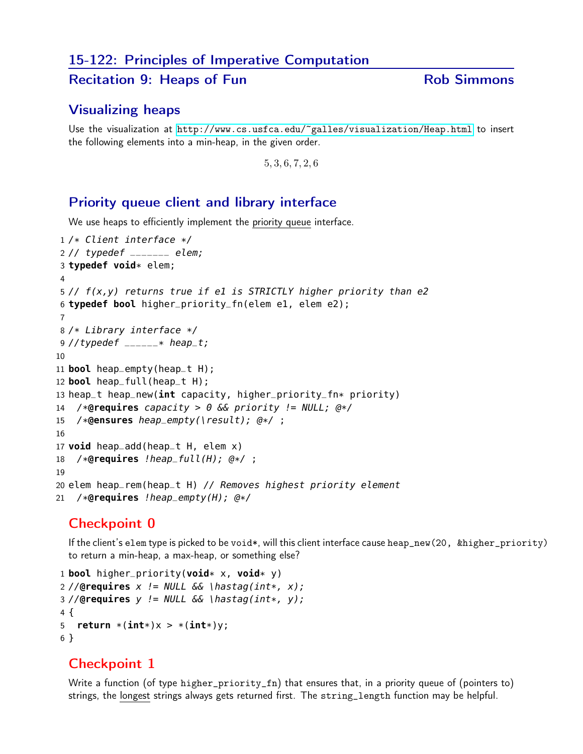# 15-122: Principles of Imperative Computation

#### Recitation 9: Heaps of Fun<br>
Rob Simmons

### Visualizing heaps

Use the visualization at <http://www.cs.usfca.edu/~galles/visualization/Heap.html> to insert the following elements into a min-heap, in the given order.

, 3, 6, 7, 2, 6

## Priority queue client and library interface

We use heaps to efficiently implement the priority queue interface.

```
1 /* Client interface */
2 // typedef \sqrt{2} elem;
3 typedef void* elem;
4
5 // f(x,y) returns true if e1 is STRICTLY higher priority than e2
6 typedef bool higher_priority_fn(elem e1, elem e2);
7
8 /* Library interface */
9 //typedef _{---} * heap_t;
10
11 bool heap_empty(heap_t H);
12 bool heap_full(heap_t H);
13 heap_t heap_new(int capacity, higher_priority_fn* priority)
14 /*@requires capacity > 0 && priority != NULL; @*/
15 /*@ensures heap_empty(\result); @*/ ;
16
17 void heap_add(heap_t H, elem x)
18 /*@requires !heap_full(H); @*/ ;
19
20 elem heap_rem(heap_t H) // Removes highest priority element
21 /*@requires !heap_empty(H); @*/
```
# Checkpoint 0

If the client's elem type is picked to be void\*, will this client interface cause heap\_new(20, &higher\_priority) to return a min-heap, a max-heap, or something else?

```
1 bool higher_priority(void* x, void* y)
2 //@requires x != NULL && \hastag(int*, x);
3 //@requires y != NULL \&\& \parallel \hastag(int*, y);
4 {
5 return *(int*)x > *(int*)y;6 }
```
# Checkpoint 1

Write a function (of type higher\_priority\_fn) that ensures that, in a priority queue of (pointers to) strings, the longest strings always gets returned first. The string\_length function may be helpful.